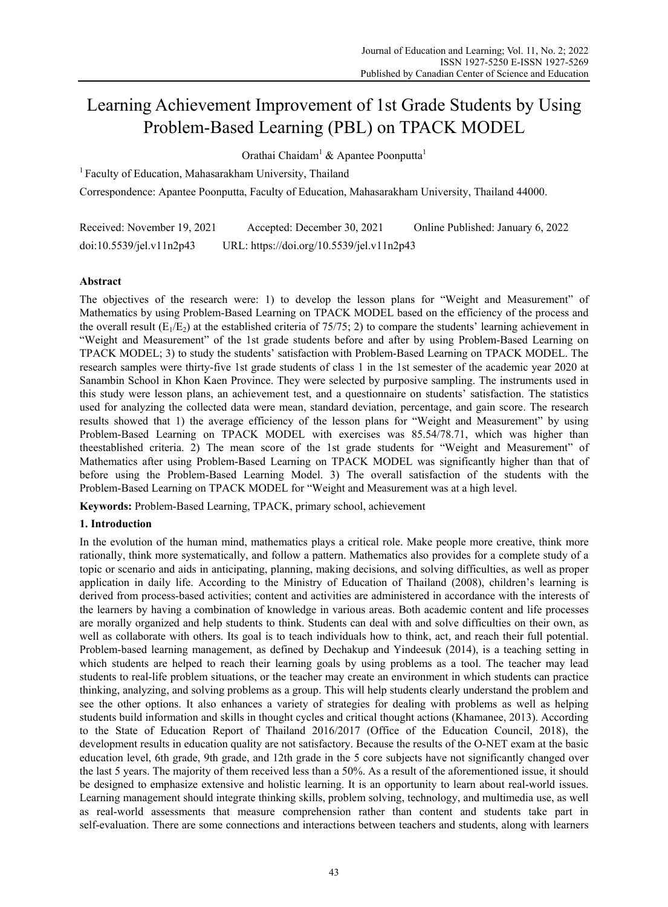# Learning Achievement Improvement of 1st Grade Students by Using Problem-Based Learning (PBL) on TPACK MODEL

Orathai Chaidam<sup>1</sup> & Apantee Poonputta<sup>1</sup>

1 Faculty of Education, Mahasarakham University, Thailand

Correspondence: Apantee Poonputta, Faculty of Education, Mahasarakham University, Thailand 44000.

Received: November 19, 2021 Accepted: December 30, 2021 Online Published: January 6, 2022 doi:10.5539/jel.v11n2p43 URL: https://doi.org/10.5539/jel.v11n2p43

## **Abstract**

The objectives of the research were: 1) to develop the lesson plans for "Weight and Measurement" of Mathematics by using Problem-Based Learning on TPACK MODEL based on the efficiency of the process and the overall result ( $E_1/E_2$ ) at the established criteria of 75/75; 2) to compare the students' learning achievement in "Weight and Measurement" of the 1st grade students before and after by using Problem-Based Learning on TPACK MODEL; 3) to study the students' satisfaction with Problem-Based Learning on TPACK MODEL. The research samples were thirty-five 1st grade students of class 1 in the 1st semester of the academic year 2020 at Sanambin School in Khon Kaen Province. They were selected by purposive sampling. The instruments used in this study were lesson plans, an achievement test, and a questionnaire on students' satisfaction. The statistics used for analyzing the collected data were mean, standard deviation, percentage, and gain score. The research results showed that 1) the average efficiency of the lesson plans for "Weight and Measurement" by using Problem-Based Learning on TPACK MODEL with exercises was 85.54/78.71, which was higher than theestablished criteria. 2) The mean score of the 1st grade students for "Weight and Measurement" of Mathematics after using Problem-Based Learning on TPACK MODEL was significantly higher than that of before using the Problem-Based Learning Model. 3) The overall satisfaction of the students with the Problem-Based Learning on TPACK MODEL for "Weight and Measurement was at a high level.

**Keywords:** Problem-Based Learning, TPACK, primary school, achievement

## **1. Introduction**

In the evolution of the human mind, mathematics plays a critical role. Make people more creative, think more rationally, think more systematically, and follow a pattern. Mathematics also provides for a complete study of a topic or scenario and aids in anticipating, planning, making decisions, and solving difficulties, as well as proper application in daily life. According to the Ministry of Education of Thailand (2008), children's learning is derived from process-based activities; content and activities are administered in accordance with the interests of the learners by having a combination of knowledge in various areas. Both academic content and life processes are morally organized and help students to think. Students can deal with and solve difficulties on their own, as well as collaborate with others. Its goal is to teach individuals how to think, act, and reach their full potential. Problem-based learning management, as defined by Dechakup and Yindeesuk (2014), is a teaching setting in which students are helped to reach their learning goals by using problems as a tool. The teacher may lead students to real-life problem situations, or the teacher may create an environment in which students can practice thinking, analyzing, and solving problems as a group. This will help students clearly understand the problem and see the other options. It also enhances a variety of strategies for dealing with problems as well as helping students build information and skills in thought cycles and critical thought actions (Khamanee, 2013). According to the State of Education Report of Thailand 2016/2017 (Office of the Education Council, 2018), the development results in education quality are not satisfactory. Because the results of the O-NET exam at the basic education level, 6th grade, 9th grade, and 12th grade in the 5 core subjects have not significantly changed over the last 5 years. The majority of them received less than a 50%. As a result of the aforementioned issue, it should be designed to emphasize extensive and holistic learning. It is an opportunity to learn about real-world issues. Learning management should integrate thinking skills, problem solving, technology, and multimedia use, as well as real-world assessments that measure comprehension rather than content and students take part in self-evaluation. There are some connections and interactions between teachers and students, along with learners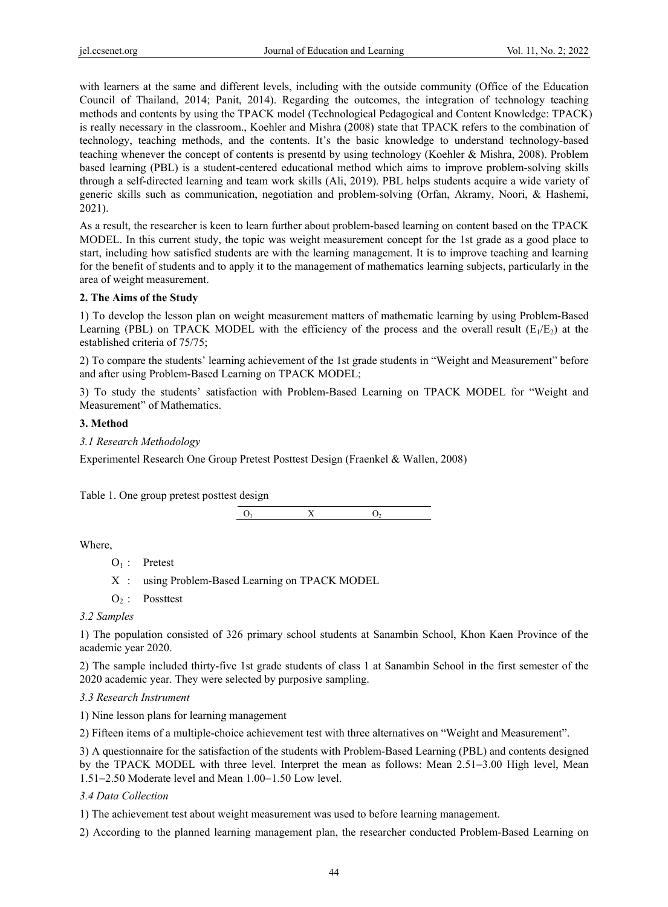with learners at the same and different levels, including with the outside community (Office of the Education Council of Thailand, 2014; Panit, 2014). Regarding the outcomes, the integration of technology teaching methods and contents by using the TPACK model (Technological Pedagogical and Content Knowledge: TPACK) is really necessary in the classroom., Koehler and Mishra (2008) state that TPACK refers to the combination of technology, teaching methods, and the contents. It's the basic knowledge to understand technology-based teaching whenever the concept of contents is presentd by using technology (Koehler & Mishra, 2008). Problem based learning (PBL) is a student-centered educational method which aims to improve problem-solving skills through a self-directed learning and team work skills (Ali, 2019). PBL helps students acquire a wide variety of generic skills such as communication, negotiation and problem-solving (Orfan, Akramy, Noori, & Hashemi, 2021).

As a result, the researcher is keen to learn further about problem-based learning on content based on the TPACK MODEL. In this current study, the topic was weight measurement concept for the 1st grade as a good place to start, including how satisfied students are with the learning management. It is to improve teaching and learning for the benefit of students and to apply it to the management of mathematics learning subjects, particularly in the area of weight measurement.

### **2. The Aims of the Study**

1) To develop the lesson plan on weight measurement matters of mathematic learning by using Problem-Based Learning (PBL) on TPACK MODEL with the efficiency of the process and the overall result ( $E_1/E_2$ ) at the established criteria of 75/75;

2) To compare the students' learning achievement of the 1st grade students in "Weight and Measurement" before and after using Problem-Based Learning on TPACK MODEL;

3) To study the students' satisfaction with Problem-Based Learning on TPACK MODEL for "Weight and Measurement" of Mathematics.

### **3. Method**

*3.1 Research Methodology* 

Experimentel Research One Group Pretest Posttest Design (Fraenkel & Wallen, 2008)

Table 1. One group pretest posttest design

 $O_1$  X  $O_2$ 

Where,

- $O_1$ : Pretest
- X : using Problem-Based Learning on TPACK MODEL
- $O<sub>2</sub>$ : Possttest

### *3.2 Samples*

1) The population consisted of 326 primary school students at Sanambin School, Khon Kaen Province of the academic year 2020.

2) The sample included thirty-five 1st grade students of class 1 at Sanambin School in the first semester of the 2020 academic year. They were selected by purposive sampling.

### *3.3 Research Instrument*

1) Nine lesson plans for learning management

2) Fifteen items of a multiple-choice achievement test with three alternatives on "Weight and Measurement".

3) A questionnaire for the satisfaction of the students with Problem-Based Learning (PBL) and contents designed by the TPACK MODEL with three level. Interpret the mean as follows: Mean 2.51−3.00 High level, Mean 1.51−2.50 Moderate level and Mean 1.00−1.50 Low level.

### *3.4 Data Collection*

1) The achievement test about weight measurement was used to before learning management.

2) According to the planned learning management plan, the researcher conducted Problem-Based Learning on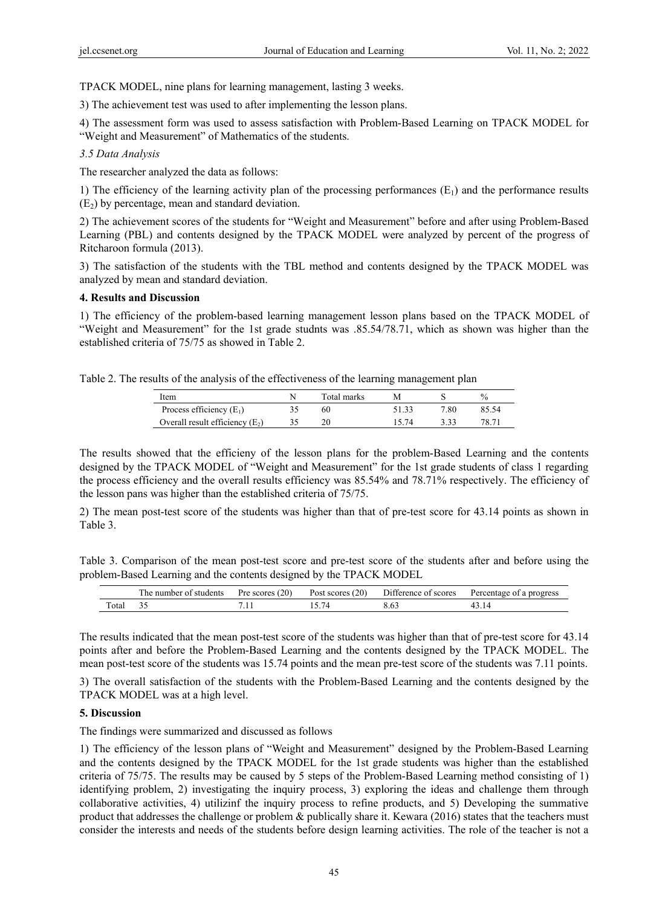TPACK MODEL, nine plans for learning management, lasting 3 weeks.

3) The achievement test was used to after implementing the lesson plans.

4) The assessment form was used to assess satisfaction with Problem-Based Learning on TPACK MODEL for "Weight and Measurement" of Mathematics of the students.

## *3.5 Data Analysis*

The researcher analyzed the data as follows:

1) The efficiency of the learning activity plan of the processing performances  $(E_1)$  and the performance results  $(E_2)$  by percentage, mean and standard deviation.

2) The achievement scores of the students for "Weight and Measurement" before and after using Problem-Based Learning (PBL) and contents designed by the TPACK MODEL were analyzed by percent of the progress of Ritcharoon formula (2013).

3) The satisfaction of the students with the TBL method and contents designed by the TPACK MODEL was analyzed by mean and standard deviation.

### **4. Results and Discussion**

1) The efficiency of the problem-based learning management lesson plans based on the TPACK MODEL of "Weight and Measurement" for the 1st grade studnts was .85.54/78.71, which as shown was higher than the established criteria of 75/75 as showed in Table 2.

Table 2. The results of the analysis of the effectiveness of the learning management plan

| Item                              | Total marks | M     |      | $\frac{0}{0}$ |
|-----------------------------------|-------------|-------|------|---------------|
| Process efficiency $(E_1)$        | 60          | 51.33 | 7.80 | 85 54         |
| Overall result efficiency $(E_2)$ | 20          | 15 74 | 3 33 | 78.71         |

The results showed that the efficieny of the lesson plans for the problem-Based Learning and the contents designed by the TPACK MODEL of "Weight and Measurement" for the 1st grade students of class 1 regarding the process efficiency and the overall results efficiency was 85.54% and 78.71% respectively. The efficiency of the lesson pans was higher than the established criteria of 75/75.

2) The mean post-test score of the students was higher than that of pre-test score for 43.14 points as shown in Table 3.

Table 3. Comparison of the mean post-test score and pre-test score of the students after and before using the problem-Based Learning and the contents designed by the TPACK MODEL

|       | $\sim$<br>: students<br>number<br>ΩŤ<br>. ne | (20)<br>Pre scores | 20)<br>scores<br>Post | Difference of scores | progress<br>Percentage<br>ാ1<br>a |
|-------|----------------------------------------------|--------------------|-----------------------|----------------------|-----------------------------------|
| `otal | ້∼                                           | .                  |                       |                      |                                   |

The results indicated that the mean post-test score of the students was higher than that of pre-test score for 43.14 points after and before the Problem-Based Learning and the contents designed by the TPACK MODEL. The mean post-test score of the students was 15.74 points and the mean pre-test score of the students was 7.11 points.

3) The overall satisfaction of the students with the Problem-Based Learning and the contents designed by the TPACK MODEL was at a high level.

### **5. Discussion**

The findings were summarized and discussed as follows

1) The efficiency of the lesson plans of "Weight and Measurement" designed by the Problem-Based Learning and the contents designed by the TPACK MODEL for the 1st grade students was higher than the established criteria of 75/75. The results may be caused by 5 steps of the Problem-Based Learning method consisting of 1) identifying problem, 2) investigating the inquiry process, 3) exploring the ideas and challenge them through collaborative activities, 4) utilizinf the inquiry process to refine products, and 5) Developing the summative product that addresses the challenge or problem & publically share it. Kewara (2016) states that the teachers must consider the interests and needs of the students before design learning activities. The role of the teacher is not a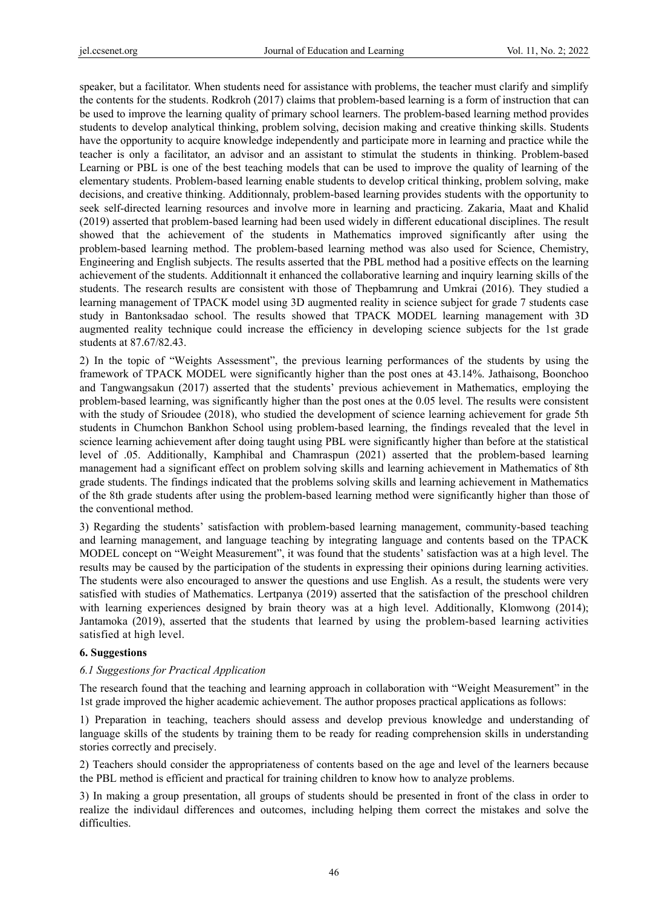speaker, but a facilitator. When students need for assistance with problems, the teacher must clarify and simplify the contents for the students. Rodkroh (2017) claims that problem-based learning is a form of instruction that can be used to improve the learning quality of primary school learners. The problem-based learning method provides students to develop analytical thinking, problem solving, decision making and creative thinking skills. Students have the opportunity to acquire knowledge independently and participate more in learning and practice while the teacher is only a facilitator, an advisor and an assistant to stimulat the students in thinking. Problem-based Learning or PBL is one of the best teaching models that can be used to improve the quality of learning of the elementary students. Problem-based learning enable students to develop critical thinking, problem solving, make decisions, and creative thinking. Additionnaly, problem-based learning provides students with the opportunity to seek self-directed learning resources and involve more in learning and practicing. Zakaria, Maat and Khalid (2019) asserted that problem-based learning had been used widely in different educational disciplines. The result showed that the achievement of the students in Mathematics improved significantly after using the problem-based learning method. The problem-based learning method was also used for Science, Chemistry, Engineering and English subjects. The results asserted that the PBL method had a positive effects on the learning achievement of the students. Additionnalt it enhanced the collaborative learning and inquiry learning skills of the students. The research results are consistent with those of Thepbamrung and Umkrai (2016). They studied a learning management of TPACK model using 3D augmented reality in science subject for grade 7 students case study in Bantonksadao school. The results showed that TPACK MODEL learning management with 3D augmented reality technique could increase the efficiency in developing science subjects for the 1st grade students at 87.67/82.43.

2) In the topic of "Weights Assessment", the previous learning performances of the students by using the framework of TPACK MODEL were significantly higher than the post ones at 43.14%. Jathaisong, Boonchoo and Tangwangsakun (2017) asserted that the students' previous achievement in Mathematics, employing the problem-based learning, was significantly higher than the post ones at the 0.05 level. The results were consistent with the study of Srioudee (2018), who studied the development of science learning achievement for grade 5th students in Chumchon Bankhon School using problem-based learning, the findings revealed that the level in science learning achievement after doing taught using PBL were significantly higher than before at the statistical level of .05. Additionally, Kamphibal and Chamraspun (2021) asserted that the problem-based learning management had a significant effect on problem solving skills and learning achievement in Mathematics of 8th grade students. The findings indicated that the problems solving skills and learning achievement in Mathematics of the 8th grade students after using the problem-based learning method were significantly higher than those of the conventional method.

3) Regarding the students' satisfaction with problem-based learning management, community-based teaching and learning management, and language teaching by integrating language and contents based on the TPACK MODEL concept on "Weight Measurement", it was found that the students' satisfaction was at a high level. The results may be caused by the participation of the students in expressing their opinions during learning activities. The students were also encouraged to answer the questions and use English. As a result, the students were very satisfied with studies of Mathematics. Lertpanya (2019) asserted that the satisfaction of the preschool children with learning experiences designed by brain theory was at a high level. Additionally, Klomwong (2014); Jantamoka (2019), asserted that the students that learned by using the problem-based learning activities satisfied at high level.

### **6. Suggestions**

### *6.1 Suggestions for Practical Application*

The research found that the teaching and learning approach in collaboration with "Weight Measurement" in the 1st grade improved the higher academic achievement. The author proposes practical applications as follows:

1) Preparation in teaching, teachers should assess and develop previous knowledge and understanding of language skills of the students by training them to be ready for reading comprehension skills in understanding stories correctly and precisely.

2) Teachers should consider the appropriateness of contents based on the age and level of the learners because the PBL method is efficient and practical for training children to know how to analyze problems.

3) In making a group presentation, all groups of students should be presented in front of the class in order to realize the individaul differences and outcomes, including helping them correct the mistakes and solve the difficulties.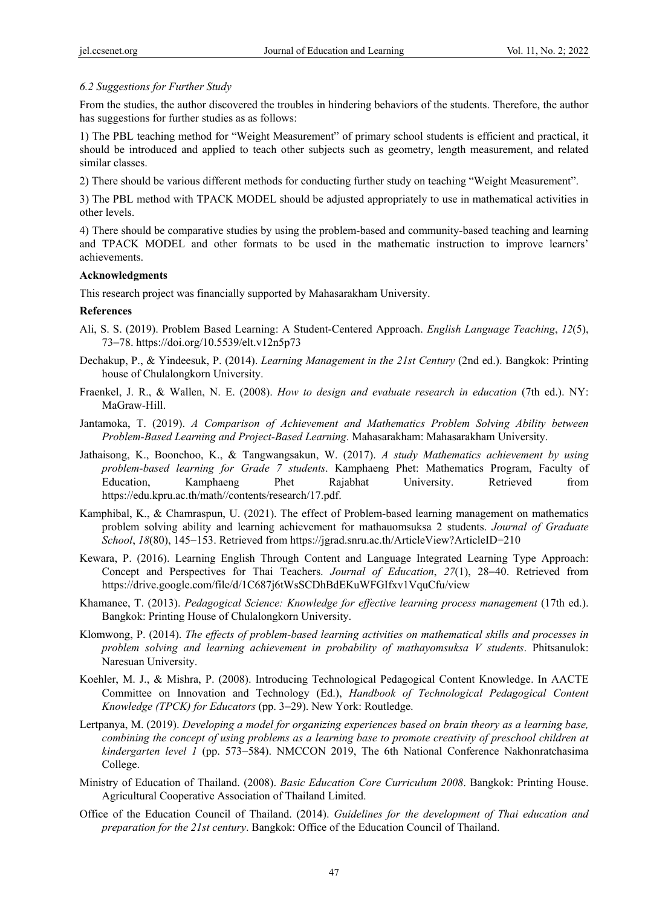## *6.2 Suggestions for Further Study*

From the studies, the author discovered the troubles in hindering behaviors of the students. Therefore, the author has suggestions for further studies as as follows:

1) The PBL teaching method for "Weight Measurement" of primary school students is efficient and practical, it should be introduced and applied to teach other subjects such as geometry, length measurement, and related similar classes.

2) There should be various different methods for conducting further study on teaching "Weight Measurement".

3) The PBL method with TPACK MODEL should be adjusted appropriately to use in mathematical activities in other levels.

4) There should be comparative studies by using the problem-based and community-based teaching and learning and TPACK MODEL and other formats to be used in the mathematic instruction to improve learners' achievements.

### **Acknowledgments**

This research project was financially supported by Mahasarakham University.

## **References**

- Ali, S. S. (2019). Problem Based Learning: A Student-Centered Approach. *English Language Teaching*, *12*(5), 73−78. https://doi.org/10.5539/elt.v12n5p73
- Dechakup, P., & Yindeesuk, P. (2014). *Learning Management in the 21st Century* (2nd ed.). Bangkok: Printing house of Chulalongkorn University.
- Fraenkel, J. R., & Wallen, N. E. (2008). *How to design and evaluate research in education* (7th ed.). NY: MaGraw-Hill.
- Jantamoka, T. (2019). *A Comparison of Achievement and Mathematics Problem Solving Ability between Problem-Based Learning and Project-Based Learning*. Mahasarakham: Mahasarakham University.
- Jathaisong, K., Boonchoo, K., & Tangwangsakun, W. (2017). *A study Mathematics achievement by using problem-based learning for Grade 7 students*. Kamphaeng Phet: Mathematics Program, Faculty of Education, Kamphaeng Phet Rajabhat University. Retrieved from https://edu.kpru.ac.th/math//contents/research/17.pdf.
- Kamphibal, K., & Chamraspun, U. (2021). The effect of Problem-based learning management on mathematics problem solving ability and learning achievement for mathauomsuksa 2 students. *Journal of Graduate School*, *18*(80), 145−153. Retrieved from https://jgrad.snru.ac.th/ArticleView?ArticleID=210
- Kewara, P. (2016). Learning English Through Content and Language Integrated Learning Type Approach: Concept and Perspectives for Thai Teachers. *Journal of Education*, *27*(1), 28−40. Retrieved from https://drive.google.com/file/d/1C687j6tWsSCDhBdEKuWFGIfxv1VquCfu/view
- Khamanee, T. (2013). *Pedagogical Science: Knowledge for effective learning process management* (17th ed.). Bangkok: Printing House of Chulalongkorn University.
- Klomwong, P. (2014). *The effects of problem-based learning activities on mathematical skills and processes in problem solving and learning achievement in probability of mathayomsuksa V students*. Phitsanulok: Naresuan University.
- Koehler, M. J., & Mishra, P. (2008). Introducing Technological Pedagogical Content Knowledge. In AACTE Committee on Innovation and Technology (Ed.), *Handbook of Technological Pedagogical Content Knowledge (TPCK) for Educators* (pp. 3−29). New York: Routledge.
- Lertpanya, M. (2019). *Developing a model for organizing experiences based on brain theory as a learning base, combining the concept of using problems as a learning base to promote creativity of preschool children at kindergarten level 1* (pp. 573−584). NMCCON 2019, The 6th National Conference Nakhonratchasima College.
- Ministry of Education of Thailand. (2008). *Basic Education Core Curriculum 2008*. Bangkok: Printing House. Agricultural Cooperative Association of Thailand Limited.
- Office of the Education Council of Thailand. (2014). *Guidelines for the development of Thai education and preparation for the 21st century*. Bangkok: Office of the Education Council of Thailand.